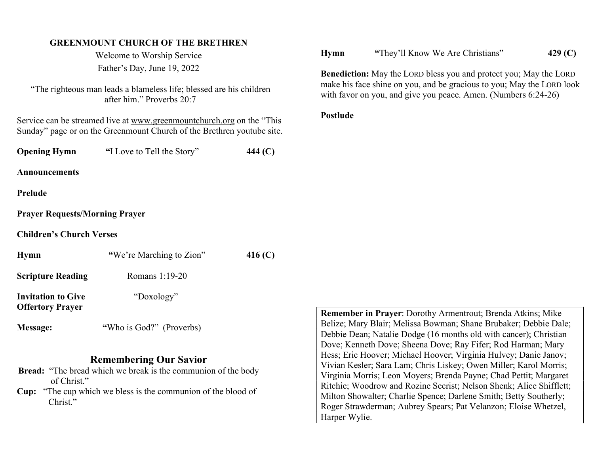# GREENMOUNT CHURCH OF THE BRETHREN

Welcome to Worship Service Father's Day, June 19, 2022

"The righteous man leads a blameless life; blessed are his children after him." Proverbs 20:7

Service can be streamed live at www.greenmountchurch.org on the "This Sunday" page or on the Greenmount Church of the Brethren youtube site.

**Opening Hymn** "I Love to Tell the Story" 444 (C)

Announcements

#### Prelude

### Prayer Requests/Morning Prayer

Children's Church Verses

| Hymn                                                 | "We're Marching to Zion" | 416 (C) |
|------------------------------------------------------|--------------------------|---------|
| <b>Scripture Reading</b>                             | Romans 1:19-20           |         |
| <b>Invitation to Give</b><br><b>Offertory Prayer</b> | "Doxology"               |         |
| Message:                                             | "Who is God?" (Proverbs) |         |

# Remembering Our Savior

- Bread: "The bread which we break is the communion of the body of Christ."
- Cup: "The cup which we bless is the communion of the blood of Christ."

## Hymn "They'll Know We Are Christians" 429 (C)

Benediction: May the LORD bless you and protect you; May the LORD make his face shine on you, and be gracious to you; May the LORD look with favor on you, and give you peace. Amen. (Numbers 6:24-26)

# Postlude

Remember in Prayer: Dorothy Armentrout; Brenda Atkins; Mike Belize; Mary Blair; Melissa Bowman; Shane Brubaker; Debbie Dale; Debbie Dean; Natalie Dodge (16 months old with cancer); Christian Dove; Kenneth Dove; Sheena Dove; Ray Fifer; Rod Harman; Mary Hess; Eric Hoover; Michael Hoover; Virginia Hulvey; Danie Janov; Vivian Kesler; Sara Lam; Chris Liskey; Owen Miller; Karol Morris; Virginia Morris; Leon Moyers; Brenda Payne; Chad Pettit; Margaret Ritchie; Woodrow and Rozine Secrist; Nelson Shenk; Alice Shifflett; Milton Showalter; Charlie Spence; Darlene Smith; Betty Southerly; Roger Strawderman; Aubrey Spears; Pat Velanzon; Eloise Whetzel, Harper Wylie.